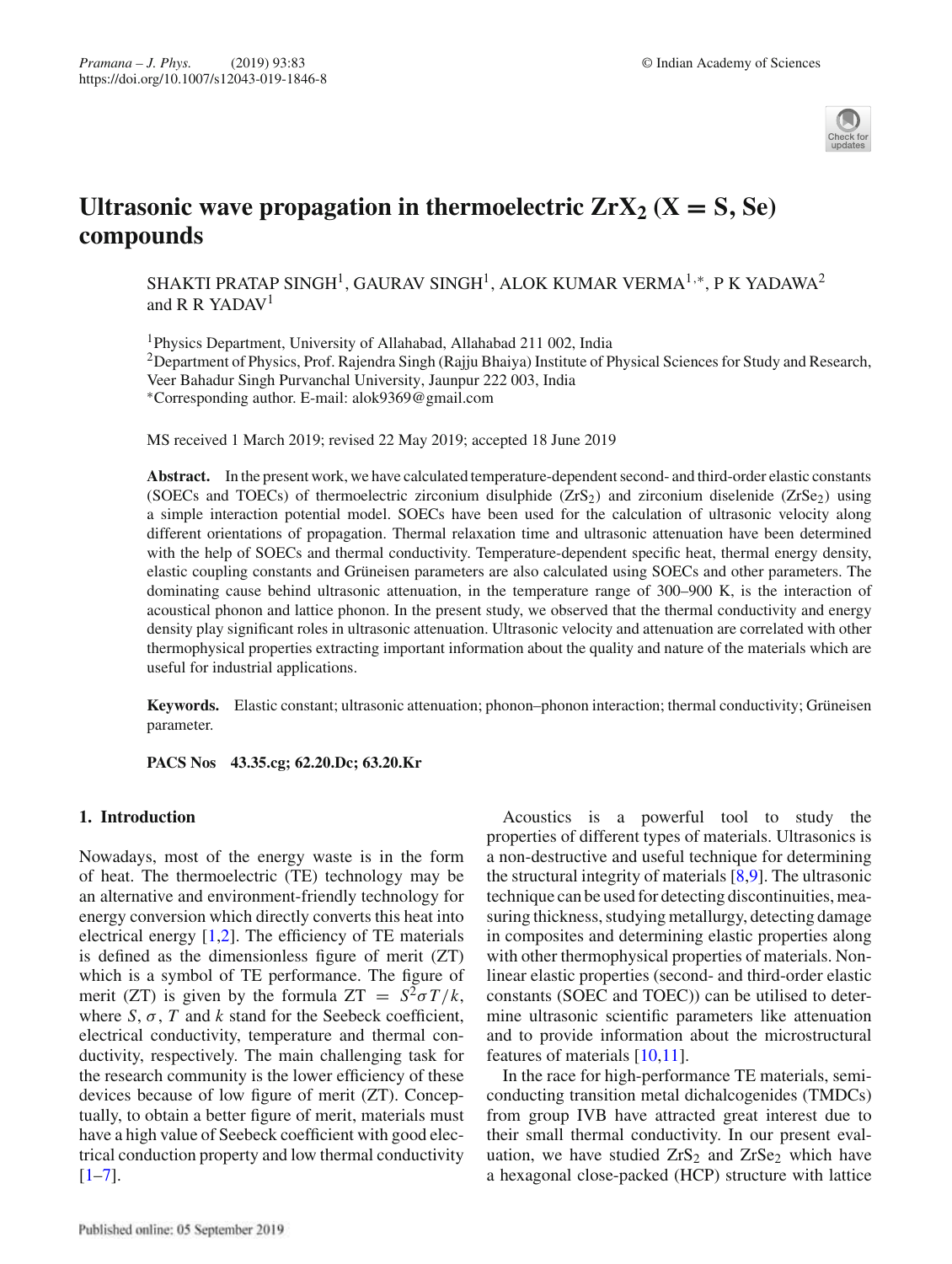

# **Ultrasonic wave propagation in thermoelectric**  $ZrX_2$  $(X = S, Se)$ **compounds**

SHAKTI PRATAP SINGH<sup>1</sup>, GAURAV SINGH<sup>1</sup>, ALOK KUMAR VERMA<sup>1,∗</sup>, P K YADAWA<sup>2</sup> and R R YADAV<sup>1</sup>

1Physics Department, University of Allahabad, Allahabad 211 002, India <sup>2</sup>Department of Physics, Prof. Rajendra Singh (Rajju Bhaiya) Institute of Physical Sciences for Study and Research, Veer Bahadur Singh Purvanchal University, Jaunpur 222 003, India ∗Corresponding author. E-mail: alok9369@gmail.com

MS received 1 March 2019; revised 22 May 2019; accepted 18 June 2019

**Abstract.** In the present work, we have calculated temperature-dependent second- and third-order elastic constants (SOECs and TOECs) of thermoelectric zirconium disulphide  $(ZrS<sub>2</sub>)$  and zirconium diselenide ( $ZrSe<sub>2</sub>$ ) using a simple interaction potential model. SOECs have been used for the calculation of ultrasonic velocity along different orientations of propagation. Thermal relaxation time and ultrasonic attenuation have been determined with the help of SOECs and thermal conductivity. Temperature-dependent specific heat, thermal energy density, elastic coupling constants and Grüneisen parameters are also calculated using SOECs and other parameters. The dominating cause behind ultrasonic attenuation, in the temperature range of 300–900 K, is the interaction of acoustical phonon and lattice phonon. In the present study, we observed that the thermal conductivity and energy density play significant roles in ultrasonic attenuation. Ultrasonic velocity and attenuation are correlated with other thermophysical properties extracting important information about the quality and nature of the materials which are useful for industrial applications.

**Keywords.** Elastic constant; ultrasonic attenuation; phonon–phonon interaction; thermal conductivity; Grüneisen parameter.

**PACS Nos 43.35.cg; 62.20.Dc; 63.20.Kr**

## **1. Introduction**

Nowadays, most of the energy waste is in the form of heat. The thermoelectric (TE) technology may be an alternative and environment-friendly technology for energy conversion which directly converts this heat into electrical energy [1,2]. The efficiency of TE materials is defined as the dimensionless figure of merit (ZT) which is a symbol of TE performance. The figure of merit (ZT) is given by the formula  $ZT = S^2 \sigma T/k$ , where  $S$ ,  $\sigma$ ,  $T$  and  $k$  stand for the Seebeck coefficient, electrical conductivity, temperature and thermal conductivity, respectively. The main challenging task for the research community is the lower efficiency of these devices because of low figure of merit (ZT). Conceptually, to obtain a better figure of merit, materials must have a high value of Seebeck coefficient with good electrical conduction property and low thermal conductivity  $[1-7]$ .

Acoustics is a powerful tool to study the properties of different types of materials. Ultrasonics is a non-destructive and useful technique for determining the structural integrity of materials [8,9]. The ultrasonic technique can be used for detecting discontinuities, measuring thickness, studying metallurgy, detecting damage in composites and determining elastic properties along with other thermophysical properties of materials. Nonlinear elastic properties (second- and third-order elastic constants (SOEC and TOEC)) can be utilised to determine ultrasonic scientific parameters like attenuation and to provide information about the microstructural features of materials [10,11].

In the race for high-performance TE materials, semiconducting transition metal dichalcogenides (TMDCs) from group IVB have attracted great interest due to their small thermal conductivity. In our present evaluation, we have studied  $ZrS_2$  and  $ZrSe_2$  which have a hexagonal close-packed (HCP) structure with lattice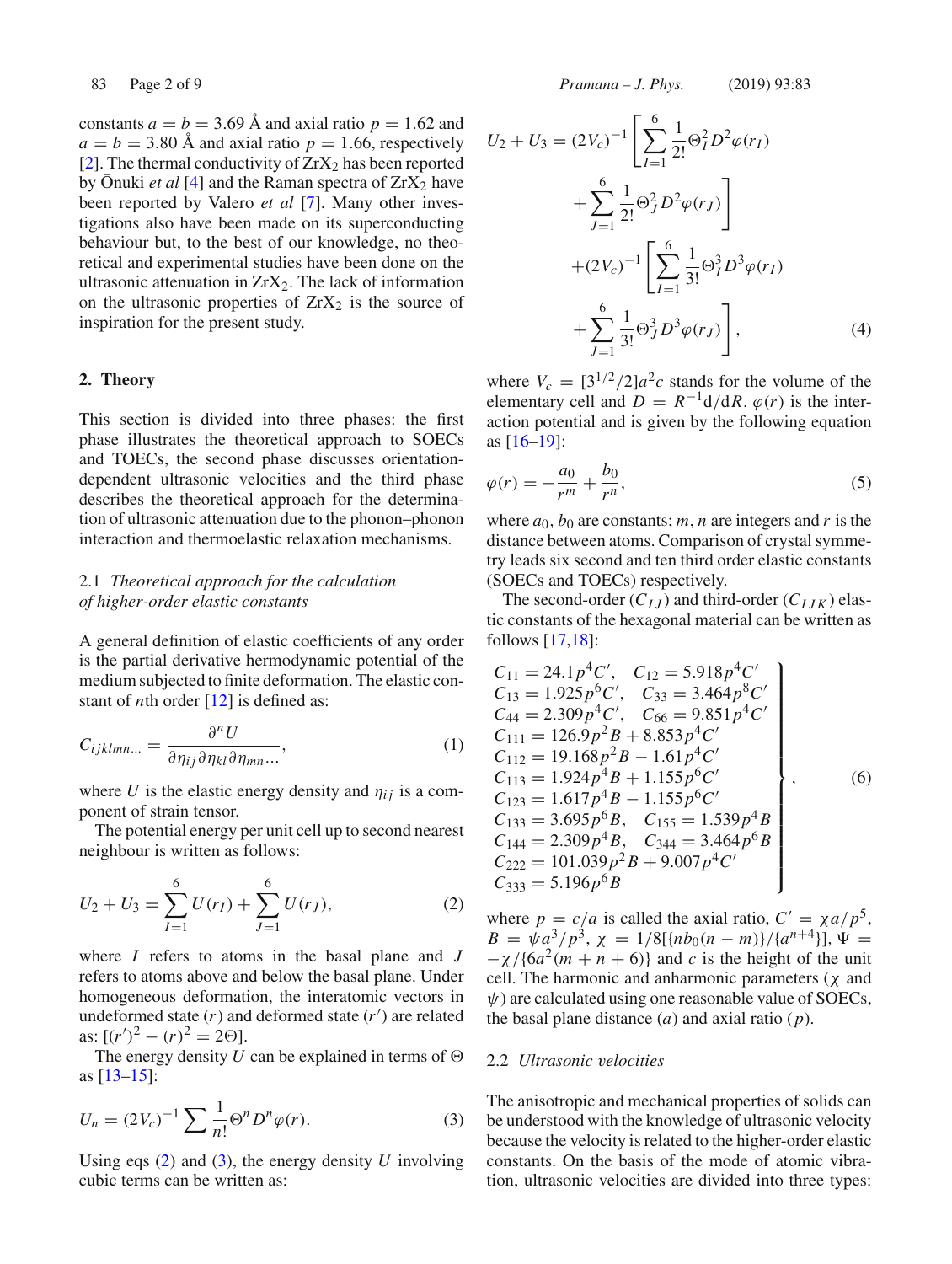constants  $a = b = 3.69$  Å and axial ratio  $p = 1.62$  and  $a = b = 3.80$  Å and axial ratio  $p = 1.66$ , respectively [2]. The thermal conductivity of  $ZrX_2$  has been reported by  $\bar{O}$ nuki *et al* [4] and the Raman spectra of  $ZrX_2$  have been reported by Valero *et al* [7]. Many other investigations also have been made on its superconducting behaviour but, to the best of our knowledge, no theoretical and experimental studies have been done on the ultrasonic attenuation in  $ZrX_2$ . The lack of information on the ultrasonic properties of  $ZrX_2$  is the source of inspiration for the present study.

#### **2. Theory**

This section is divided into three phases: the first phase illustrates the theoretical approach to SOECs and TOECs, the second phase discusses orientationdependent ultrasonic velocities and the third phase describes the theoretical approach for the determination of ultrasonic attenuation due to the phonon–phonon interaction and thermoelastic relaxation mechanisms.

# 2.1 *Theoretical approach for the calculation of higher-order elastic constants*

A general definition of elastic coefficients of any order is the partial derivative hermodynamic potential of the medium subjected to finite deformation. The elastic constant of *n*th order [12] is defined as:

$$
C_{ijklmn...} = \frac{\partial^n U}{\partial \eta_{ij} \partial \eta_{kl} \partial \eta_{mn} ...},
$$
\n(1)

where *U* is the elastic energy density and  $\eta_{ij}$  is a component of strain tensor.

The potential energy per unit cell up to second nearest neighbour is written as follows:

$$
U_2 + U_3 = \sum_{I=1}^{6} U(r_I) + \sum_{J=1}^{6} U(r_J),
$$
 (2)

where *I* refers to atoms in the basal plane and *J* refers to atoms above and below the basal plane. Under homogeneous deformation, the interatomic vectors in undeformed state (*r*) and deformed state (*r* ) are related as:  $[(r')^2 - (r)^2 = 2\Theta].$ 

The energy density *U* can be explained in terms of  $\Theta$ as [13–15]:

$$
U_n = (2V_c)^{-1} \sum \frac{1}{n!} \Theta^n D^n \varphi(r).
$$
 (3)

Using eqs (2) and (3), the energy density *U* involving cubic terms can be written as:

83 Page 2 of 9 *Pramana – J. Phys.* (2019) 93:83

$$
U_2 + U_3 = (2V_c)^{-1} \left[ \sum_{I=1}^{6} \frac{1}{2!} \Theta_I^2 D^2 \varphi(r_I) + \sum_{J=1}^{6} \frac{1}{2!} \Theta_J^2 D^2 \varphi(r_J) \right] + (2V_c)^{-1} \left[ \sum_{I=1}^{6} \frac{1}{3!} \Theta_I^3 D^3 \varphi(r_I) + \sum_{J=1}^{6} \frac{1}{3!} \Theta_J^3 D^3 \varphi(r_J) \right],
$$
 (4)

where  $V_c = \left[\frac{3^{1/2}}{2}\right]a^2c$  stands for the volume of the elementary cell and  $D = R^{-1}d/dR$ .  $\varphi(r)$  is the interaction potential and is given by the following equation as [16–19]:

$$
\varphi(r) = -\frac{a_0}{r^m} + \frac{b_0}{r^n},\tag{5}
$$

where  $a_0$ ,  $b_0$  are constants; *m*, *n* are integers and *r* is the distance between atoms. Comparison of crystal symmetry leads six second and ten third order elastic constants (SOECs and TOECs) respectively.

The second-order  $(C_{IJ})$  and third-order  $(C_{IJK})$  elastic constants of the hexagonal material can be written as follows [17,18]:

$$
C_{11} = 24.1p^{4}C', C_{12} = 5.918p^{4}C'
$$
  
\n
$$
C_{13} = 1.925p^{6}C', C_{33} = 3.464p^{8}C'
$$
  
\n
$$
C_{44} = 2.309p^{4}C', C_{66} = 9.851p^{4}C'
$$
  
\n
$$
C_{111} = 126.9p^{2}B + 8.853p^{4}C'
$$
  
\n
$$
C_{112} = 19.168p^{2}B - 1.61p^{4}C'
$$
  
\n
$$
C_{113} = 1.924p^{4}B + 1.155p^{6}C'
$$
  
\n
$$
C_{123} = 1.617p^{4}B - 1.155p^{6}C'
$$
  
\n
$$
C_{133} = 3.695p^{6}B, C_{155} = 1.539p^{4}B
$$
  
\n
$$
C_{144} = 2.309p^{4}B, C_{344} = 3.464p^{6}B
$$
  
\n
$$
C_{222} = 101.039p^{2}B + 9.007p^{4}C'
$$
  
\n
$$
C_{333} = 5.196p^{6}B
$$

where  $p = c/a$  is called the axial ratio,  $C' = \chi a/p^5$ ,  $B = \psi a^3/p^3$ ,  $\chi = 1/8[\{nb_0(n-m)\}/\{a^{n+4}\}], \Psi =$  $-\chi$ /{6*a*<sup>2</sup>(*m* + *n* + 6)} and *c* is the height of the unit cell. The harmonic and anharmonic parameters  $(\chi$  and  $\psi$ ) are calculated using one reasonable value of SOECs, the basal plane distance (*a*) and axial ratio (*p*).

#### 2.2 *Ultrasonic velocities*

The anisotropic and mechanical properties of solids can be understood with the knowledge of ultrasonic velocity because the velocity is related to the higher-order elastic constants. On the basis of the mode of atomic vibration, ultrasonic velocities are divided into three types: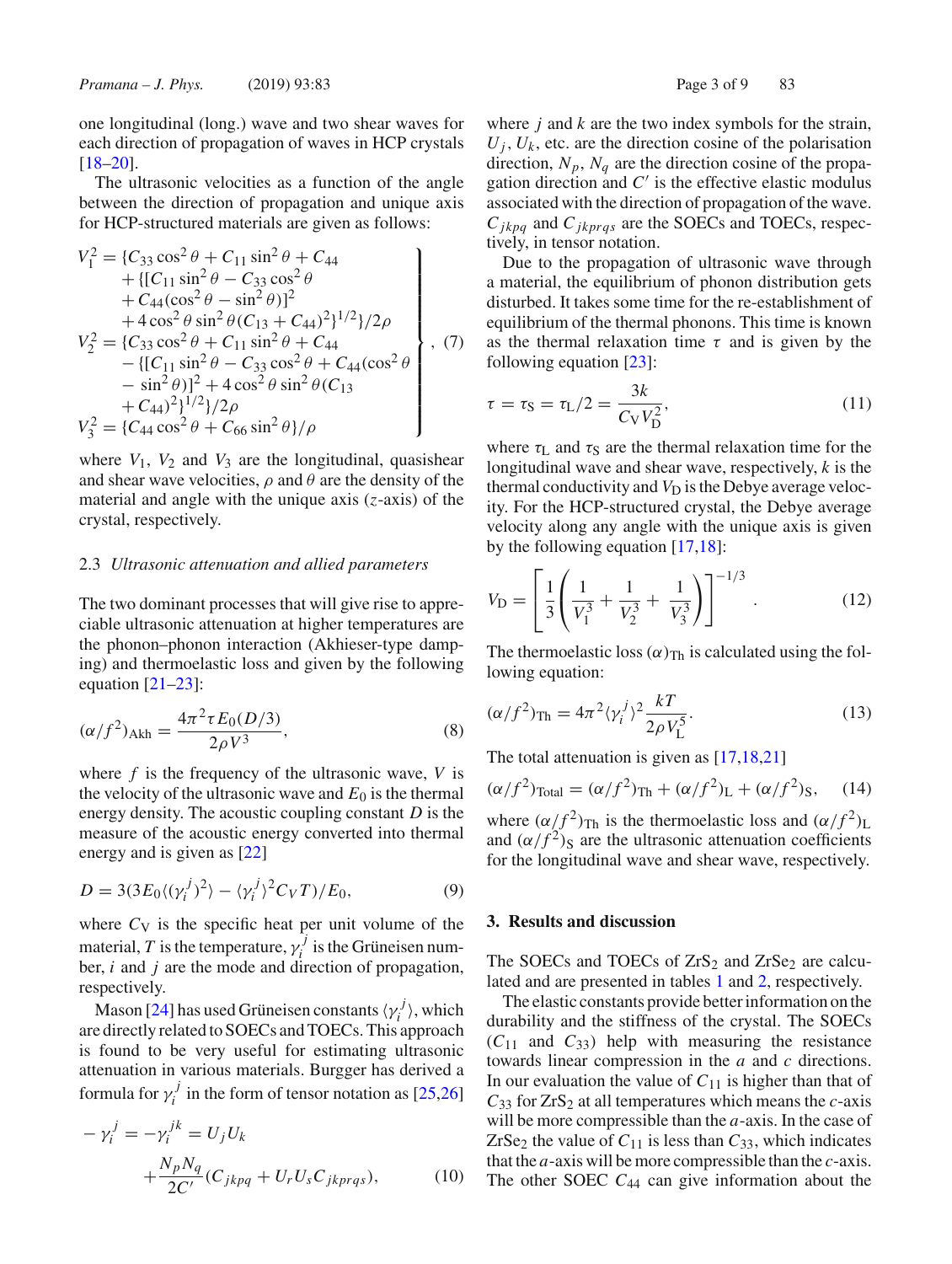one longitudinal (long.) wave and two shear waves for each direction of propagation of waves in HCP crystals [18–20].

The ultrasonic velocities as a function of the angle between the direction of propagation and unique axis for HCP-structured materials are given as follows:

$$
V_1^2 = \{C_{33} \cos^2 \theta + C_{11} \sin^2 \theta + C_{44} + \{[C_{11} \sin^2 \theta - C_{33} \cos^2 \theta + C_{44} (\cos^2 \theta - \sin^2 \theta)]^2 + 4 \cos^2 \theta \sin^2 \theta (C_{13} + C_{44})^2\}^{1/2} / 2\rho V_2^2 = \{C_{33} \cos^2 \theta + C_{11} \sin^2 \theta + C_{44} - \{[C_{11} \sin^2 \theta - C_{33} \cos^2 \theta + C_{44} (\cos^2 \theta - \sin^2 \theta)]^2 + 4 \cos^2 \theta \sin^2 \theta (C_{13} + C_{44})^2\}^{1/2} / 2\rho V_3^2 = \{C_{44} \cos^2 \theta + C_{66} \sin^2 \theta\} / \rho
$$

where  $V_1$ ,  $V_2$  and  $V_3$  are the longitudinal, quasishear and shear wave velocities,  $\rho$  and  $\theta$  are the density of the material and angle with the unique axis (*z*-axis) of the crystal, respectively.

## 2.3 *Ultrasonic attenuation and allied parameters*

The two dominant processes that will give rise to appreciable ultrasonic attenuation at higher temperatures are the phonon–phonon interaction (Akhieser-type damping) and thermoelastic loss and given by the following equation  $[21-23]$ :

$$
(\alpha/f^2)_{\text{Akh}} = \frac{4\pi^2 \tau E_0(D/3)}{2\rho V^3},\tag{8}
$$

where *f* is the frequency of the ultrasonic wave, *V* is the velocity of the ultrasonic wave and  $E_0$  is the thermal energy density. The acoustic coupling constant *D* is the measure of the acoustic energy converted into thermal energy and is given as [22]

$$
D = 3(3E_0\langle (\gamma_i^j)^2 \rangle - \langle \gamma_i^j \rangle^2 C_V T)/E_0, \tag{9}
$$

where  $C_V$  is the specific heat per unit volume of the material, *T* is the temperature,  $\gamma_i^j$  is the Grüneisen number, *i* and *j* are the mode and direction of propagation, respectively.

Mason [24] has used Grüneisen constants  $\langle \gamma_i^j \rangle$ , which are directly related to SOECs and TOECs. This approach is found to be very useful for estimating ultrasonic attenuation in various materials. Burgger has derived a formula for  $\gamma_i^j$  in the form of tensor notation as [25,26]

$$
-\gamma_i^j = -\gamma_i^{jk} = U_j U_k
$$
  
+ 
$$
\frac{N_p N_q}{2C'} (C_{jkpq} + U_r U_s C_{jkprqs}),
$$
 (10)

where *j* and *k* are the two index symbols for the strain,  $U_i$ ,  $U_k$ , etc. are the direction cosine of the polarisation direction,  $N_p$ ,  $N_q$  are the direction cosine of the propagation direction and  $C'$  is the effective elastic modulus associated with the direction of propagation of the wave. *Cjkpq* and *Cjkprqs* are the SOECs and TOECs, respectively, in tensor notation.

Due to the propagation of ultrasonic wave through a material, the equilibrium of phonon distribution gets disturbed. It takes some time for the re-establishment of equilibrium of the thermal phonons. This time is known as the thermal relaxation time  $\tau$  and is given by the following equation [23]:

$$
\tau = \tau_{\rm S} = \tau_{\rm L}/2 = \frac{3k}{C_{\rm V}V_{\rm D}^2},\tag{11}
$$

where  $\tau_{\text{L}}$  and  $\tau_{\text{S}}$  are the thermal relaxation time for the longitudinal wave and shear wave, respectively, *k* is the thermal conductivity and  $V_D$  is the Debye average velocity. For the HCP-structured crystal, the Debye average velocity along any angle with the unique axis is given by the following equation [17,18]:

$$
V_{\rm D} = \left[ \frac{1}{3} \left( \frac{1}{V_1^3} + \frac{1}{V_2^3} + \frac{1}{V_3^3} \right) \right]^{-1/3} . \tag{12}
$$

The thermoelastic loss  $(\alpha)_{\text{Th}}$  is calculated using the following equation:

$$
(\alpha/f^2)_{\text{Th}} = 4\pi^2 \langle \gamma_i^j \rangle^2 \frac{kT}{2\rho V_L^5}.
$$
 (13)

The total attenuation is given as [17,18,21]

$$
(\alpha/f^2)_{\text{Total}} = (\alpha/f^2)_{\text{Th}} + (\alpha/f^2)_{\text{L}} + (\alpha/f^2)_{\text{S}}, \quad (14)
$$

where  $(\alpha/f^2)_{\text{Th}}$  is the thermoelastic loss and  $(\alpha/f^2)_{\text{L}}$ and  $(\alpha/f^2)_{\rm S}$  are the ultrasonic attenuation coefficients for the longitudinal wave and shear wave, respectively.

#### **3. Results and discussion**

The SOECs and TOECs of  $ZrS_2$  and  $ZrSe_2$  are calculated and are presented in tables 1 and 2, respectively.

The elastic constants provide better information on the durability and the stiffness of the crystal. The SOECs  $(C_{11}$  and  $C_{33}$ ) help with measuring the resistance towards linear compression in the *a* and *c* directions. In our evaluation the value of  $C_{11}$  is higher than that of  $C_{33}$  for  $ZrS_2$  at all temperatures which means the *c*-axis will be more compressible than the *a*-axis. In the case of ZrSe<sub>2</sub> the value of  $C_{11}$  is less than  $C_{33}$ , which indicates that the *a*-axis will be more compressible than the *c*-axis. The other SOEC  $C_{44}$  can give information about the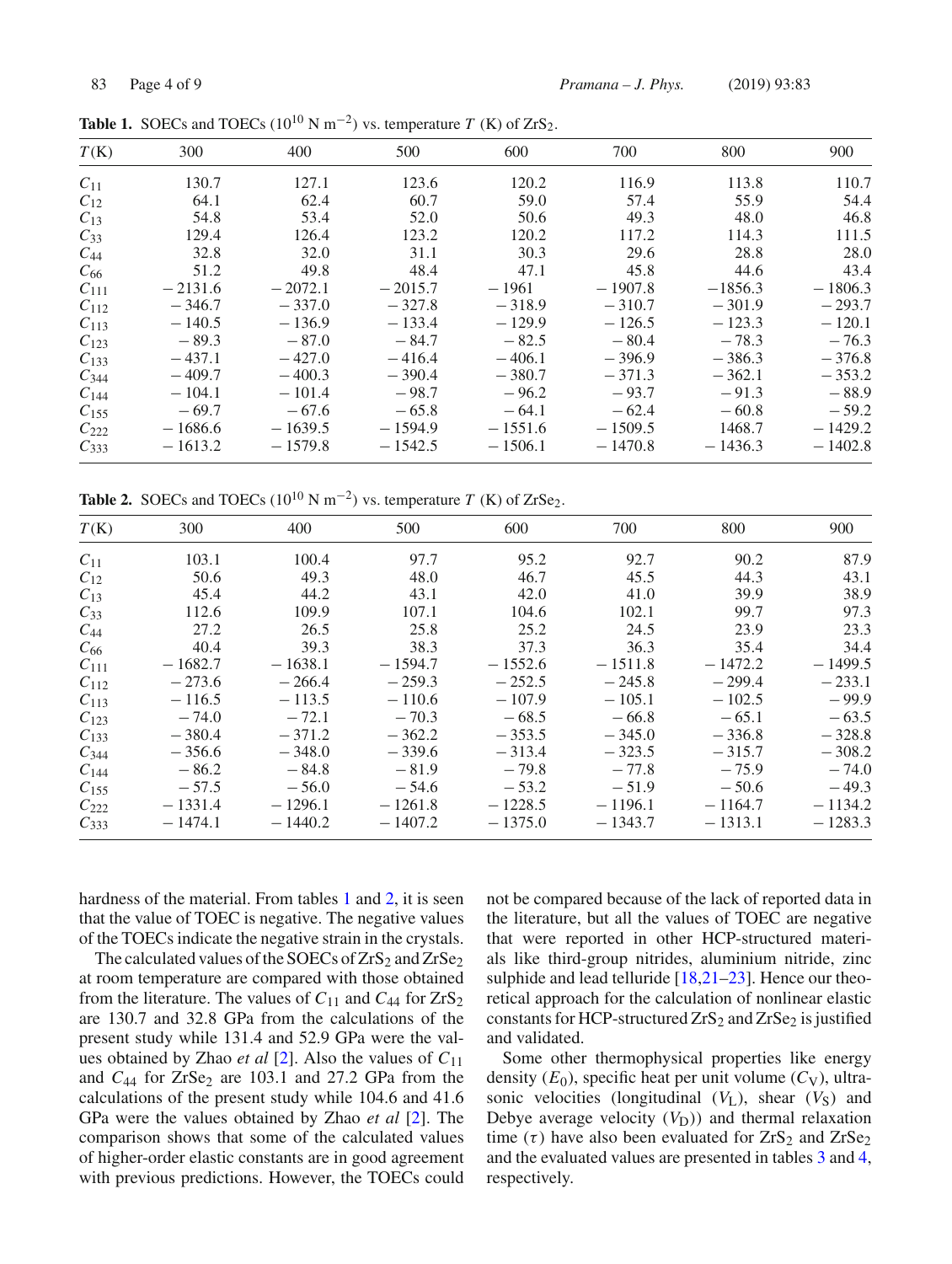| T(K)      | 300       | 400       | 500       | 600       | 700       | 800       | 900       |
|-----------|-----------|-----------|-----------|-----------|-----------|-----------|-----------|
| $C_{11}$  | 130.7     | 127.1     | 123.6     | 120.2     | 116.9     | 113.8     | 110.7     |
| $C_{12}$  | 64.1      | 62.4      | 60.7      | 59.0      | 57.4      | 55.9      | 54.4      |
| $C_{13}$  | 54.8      | 53.4      | 52.0      | 50.6      | 49.3      | 48.0      | 46.8      |
| $C_{33}$  | 129.4     | 126.4     | 123.2     | 120.2     | 117.2     | 114.3     | 111.5     |
| $C_{44}$  | 32.8      | 32.0      | 31.1      | 30.3      | 29.6      | 28.8      | 28.0      |
| $C_{66}$  | 51.2      | 49.8      | 48.4      | 47.1      | 45.8      | 44.6      | 43.4      |
| $C_{111}$ | $-2131.6$ | $-2072.1$ | $-2015.7$ | $-1961$   | $-1907.8$ | $-1856.3$ | $-1806.3$ |
| $C_{112}$ | $-346.7$  | $-337.0$  | $-327.8$  | $-318.9$  | $-310.7$  | $-301.9$  | $-293.7$  |
| $C_{113}$ | $-140.5$  | $-136.9$  | $-133.4$  | $-129.9$  | $-126.5$  | $-123.3$  | $-120.1$  |
| $C_{123}$ | $-89.3$   | $-87.0$   | $-84.7$   | $-82.5$   | $-80.4$   | $-78.3$   | $-76.3$   |
| $C_{133}$ | $-437.1$  | $-427.0$  | $-416.4$  | $-406.1$  | $-396.9$  | $-386.3$  | $-376.8$  |
| $C_{344}$ | $-409.7$  | $-400.3$  | $-390.4$  | $-380.7$  | $-371.3$  | $-362.1$  | $-353.2$  |
| $C_{144}$ | $-104.1$  | $-101.4$  | $-98.7$   | $-96.2$   | $-93.7$   | $-91.3$   | $-88.9$   |
| $C_{155}$ | $-69.7$   | $-67.6$   | $-65.8$   | $-64.1$   | $-62.4$   | $-60.8$   | $-59.2$   |
| $C_{222}$ | $-1686.6$ | $-1639.5$ | $-1594.9$ | $-1551.6$ | $-1509.5$ | 1468.7    | $-1429.2$ |
| $C_{333}$ | $-1613.2$ | $-1579.8$ | $-1542.5$ | $-1506.1$ | $-1470.8$ | $-1436.3$ | $-1402.8$ |

**Table 1.** SOECs and TOECs  $(10^{10} \text{ N m}^{-2})$  vs. temperature *T* (K) of ZrS<sub>2</sub>.

**Table 2.** SOECs and TOECs  $(10^{10} \text{ N m}^{-2})$  vs. temperature *T* (K) of ZrSe<sub>2</sub>.

| T(K)      | 300       | 400       | 500       | 600       | 700       | 800       | 900       |
|-----------|-----------|-----------|-----------|-----------|-----------|-----------|-----------|
| $C_{11}$  | 103.1     | 100.4     | 97.7      | 95.2      | 92.7      | 90.2      | 87.9      |
| $C_{12}$  | 50.6      | 49.3      | 48.0      | 46.7      | 45.5      | 44.3      | 43.1      |
| $C_{13}$  | 45.4      | 44.2      | 43.1      | 42.0      | 41.0      | 39.9      | 38.9      |
| $C_{33}$  | 112.6     | 109.9     | 107.1     | 104.6     | 102.1     | 99.7      | 97.3      |
| $C_{44}$  | 27.2      | 26.5      | 25.8      | 25.2      | 24.5      | 23.9      | 23.3      |
| $C_{66}$  | 40.4      | 39.3      | 38.3      | 37.3      | 36.3      | 35.4      | 34.4      |
| $C_{111}$ | $-1682.7$ | $-1638.1$ | $-1594.7$ | $-1552.6$ | $-1511.8$ | $-1472.2$ | $-1499.5$ |
| $C_{112}$ | $-273.6$  | $-266.4$  | $-259.3$  | $-252.5$  | $-245.8$  | $-299.4$  | $-233.1$  |
| $C_{113}$ | $-116.5$  | $-113.5$  | $-110.6$  | $-107.9$  | $-105.1$  | $-102.5$  | $-99.9$   |
| $C_{123}$ | $-74.0$   | $-72.1$   | $-70.3$   | $-68.5$   | $-66.8$   | $-65.1$   | $-63.5$   |
| $C_{133}$ | $-380.4$  | $-371.2$  | $-362.2$  | $-353.5$  | $-345.0$  | $-336.8$  | $-328.8$  |
| $C_{344}$ | $-356.6$  | $-348.0$  | $-339.6$  | $-313.4$  | $-323.5$  | $-315.7$  | $-308.2$  |
| $C_{144}$ | $-86.2$   | $-84.8$   | $-81.9$   | $-79.8$   | $-77.8$   | $-75.9$   | $-74.0$   |
| $C_{155}$ | $-57.5$   | $-56.0$   | $-54.6$   | $-53.2$   | $-51.9$   | $-50.6$   | $-49.3$   |
| $C_{222}$ | $-1331.4$ | $-1296.1$ | $-1261.8$ | $-1228.5$ | $-1196.1$ | $-1164.7$ | $-1134.2$ |
| $C_{333}$ | $-1474.1$ | $-1440.2$ | $-1407.2$ | $-1375.0$ | $-1343.7$ | $-1313.1$ | $-1283.3$ |

hardness of the material. From tables 1 and 2, it is seen that the value of TOEC is negative. The negative values of the TOECs indicate the negative strain in the crystals.

The calculated values of the SOECs of  $ZrS_2$  and  $ZrSe_2$ at room temperature are compared with those obtained from the literature. The values of  $C_{11}$  and  $C_{44}$  for  $ZrS_2$ are 130.7 and 32.8 GPa from the calculations of the present study while 131.4 and 52.9 GPa were the values obtained by Zhao *et al* [2]. Also the values of *C*<sup>11</sup> and  $C_{44}$  for  $ZrSe_2$  are 103.1 and 27.2 GPa from the calculations of the present study while 104.6 and 41.6 GPa were the values obtained by Zhao *et al* [2]. The comparison shows that some of the calculated values of higher-order elastic constants are in good agreement with previous predictions. However, the TOECs could not be compared because of the lack of reported data in the literature, but all the values of TOEC are negative that were reported in other HCP-structured materials like third-group nitrides, aluminium nitride, zinc sulphide and lead telluride  $[18,21-23]$ . Hence our theoretical approach for the calculation of nonlinear elastic constants for HCP-structured  $ZrS_2$  and  $ZrSe_2$  is justified and validated.

Some other thermophysical properties like energy density  $(E_0)$ , specific heat per unit volume  $(C_V)$ , ultrasonic velocities (longitudinal  $(V_L)$ , shear  $(V_S)$  and Debye average velocity  $(V_D)$ ) and thermal relaxation time  $(\tau)$  have also been evaluated for  $ZrS_2$  and  $ZrS_2$ and the evaluated values are presented in tables 3 and 4, respectively.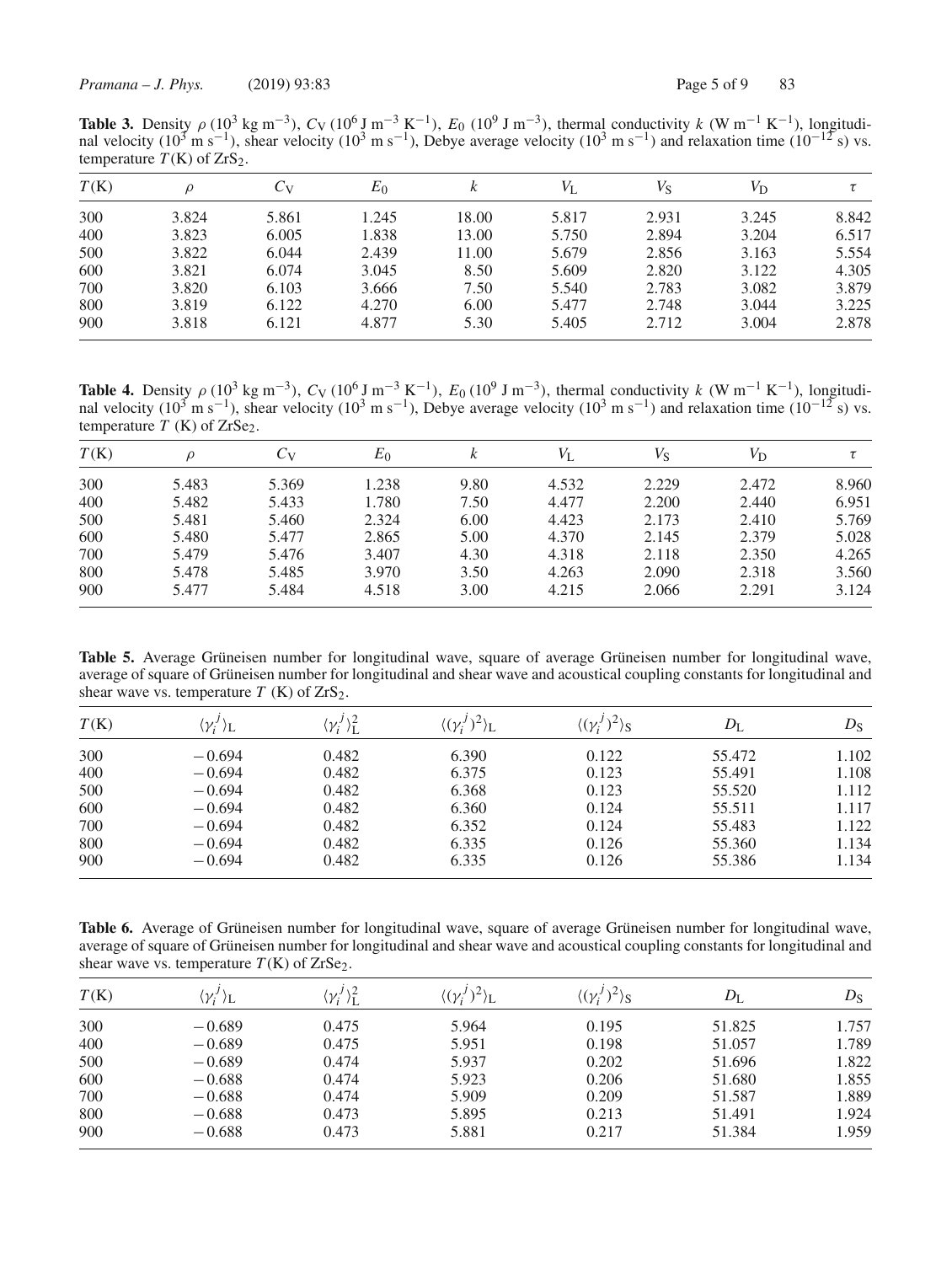**Table 3.** Density  $\rho$  (10<sup>3</sup> kg m<sup>−3</sup>),  $C_V$  (10<sup>6</sup> J m<sup>−3</sup> K<sup>−1</sup>),  $E_0$  (10<sup>9</sup> J m<sup>−3</sup>), thermal conductivity  $k$  (W m<sup>−1</sup> K<sup>−1</sup>), longitudinal velocity (10<sup>3</sup> m s<sup>-1</sup>), shear velocity (10<sup>3</sup> m s<sup>-1</sup>), Debye average velocity (10<sup>3</sup> m s<sup>-1</sup>) and relaxation time (10<sup>-12</sup> s) vs. temperature  $T(K)$  of  $ZrS<sub>2</sub>$ .

| T(K) | ρ     | Úv    | $E_0$ | ĸ     | $V_{L}$ | $V_{\rm S}$ | $V_{\rm D}$ |       |
|------|-------|-------|-------|-------|---------|-------------|-------------|-------|
| 300  | 3.824 | 5.861 | 1.245 | 18.00 | 5.817   | 2.931       | 3.245       | 8.842 |
| 400  | 3.823 | 6.005 | 1.838 | 13.00 | 5.750   | 2.894       | 3.204       | 6.517 |
| 500  | 3.822 | 6.044 | 2.439 | 11.00 | 5.679   | 2.856       | 3.163       | 5.554 |
| 600  | 3.821 | 6.074 | 3.045 | 8.50  | 5.609   | 2.820       | 3.122       | 4.305 |
| 700  | 3.820 | 6.103 | 3.666 | 7.50  | 5.540   | 2.783       | 3.082       | 3.879 |
| 800  | 3.819 | 6.122 | 4.270 | 6.00  | 5.477   | 2.748       | 3.044       | 3.225 |
| 900  | 3.818 | 6.121 | 4.877 | 5.30  | 5.405   | 2.712       | 3.004       | 2.878 |

**Table 4.** Density  $\rho$  (10<sup>3</sup> kg m<sup>−3</sup>),  $C_V$  (10<sup>6</sup> J m<sup>−3</sup> K<sup>−1</sup>),  $E_0$  (10<sup>9</sup> J m<sup>−3</sup>), thermal conductivity  $k$  (W m<sup>−1</sup> K<sup>−1</sup>), longitudinal velocity (10<sup>3</sup> m s<sup>-1</sup>), shear velocity (10<sup>3</sup> m s<sup>-1</sup>), Debye average velocity (10<sup>3</sup> m s<sup>-1</sup>) and relaxation time (10<sup>-12</sup> s) vs. temperature  $T$  (K) of  $ZrSe<sub>2</sub>$ .

| T(K) | ρ     | $C_V$ | $E_0$ | k    | $V_{\rm L}$ | Vs    | $V_{\mathrm{D}}$ |       |
|------|-------|-------|-------|------|-------------|-------|------------------|-------|
| 300  | 5.483 | 5.369 | 1.238 | 9.80 | 4.532       | 2.229 | 2.472            | 8.960 |
| 400  | 5.482 | 5.433 | 1.780 | 7.50 | 4.477       | 2.200 | 2.440            | 6.951 |
| 500  | 5.481 | 5.460 | 2.324 | 6.00 | 4.423       | 2.173 | 2.410            | 5.769 |
| 600  | 5.480 | 5.477 | 2.865 | 5.00 | 4.370       | 2.145 | 2.379            | 5.028 |
| 700  | 5.479 | 5.476 | 3.407 | 4.30 | 4.318       | 2.118 | 2.350            | 4.265 |
| 800  | 5.478 | 5.485 | 3.970 | 3.50 | 4.263       | 2.090 | 2.318            | 3.560 |
| 900  | 5.477 | 5.484 | 4.518 | 3.00 | 4.215       | 2.066 | 2.291            | 3.124 |

**Table 5.** Average Grüneisen number for longitudinal wave, square of average Grüneisen number for longitudinal wave, average of square of Grüneisen number for longitudinal and shear wave and acoustical coupling constants for longitudinal and shear wave vs. temperature  $T(K)$  of  $ZrS_2$ .

| T(K) | $\langle {\gamma_i}^{\prime} \rangle_L$ | $\langle \gamma_i^J \rangle_{\rm L}^2$ | $\langle (\gamma_i^J)^2 \rangle_L$ | $\langle (\gamma_i^J)^2 \rangle_S$ | $D_{\rm L}$ | $D_{\rm S}$ |
|------|-----------------------------------------|----------------------------------------|------------------------------------|------------------------------------|-------------|-------------|
| 300  | $-0.694$                                | 0.482                                  | 6.390                              | 0.122                              | 55.472      | 1.102       |
| 400  | $-0.694$                                | 0.482                                  | 6.375                              | 0.123                              | 55.491      | 1.108       |
| 500  | $-0.694$                                | 0.482                                  | 6.368                              | 0.123                              | 55.520      | 1.112       |
| 600  | $-0.694$                                | 0.482                                  | 6.360                              | 0.124                              | 55.511      | 1.117       |
| 700  | $-0.694$                                | 0.482                                  | 6.352                              | 0.124                              | 55.483      | 1.122       |
| 800  | $-0.694$                                | 0.482                                  | 6.335                              | 0.126                              | 55.360      | 1.134       |
| 900  | $-0.694$                                | 0.482                                  | 6.335                              | 0.126                              | 55.386      | 1.134       |

**Table 6.** Average of Grüneisen number for longitudinal wave, square of average Grüneisen number for longitudinal wave, average of square of Grüneisen number for longitudinal and shear wave and acoustical coupling constants for longitudinal and shear wave vs. temperature  $T(K)$  of  $ZrSe<sub>2</sub>$ .

| T(K) | $\langle \gamma'_i \rangle_{\rm L}$ | $\langle \gamma_i^j \rangle_{\rm L}^2$ | $\langle (\gamma_i^j)^2 \rangle_L$ | $\langle (\gamma_i^J)^2 \rangle_S$ | $D_{\rm L}$ | $D_{\rm S}$ |
|------|-------------------------------------|----------------------------------------|------------------------------------|------------------------------------|-------------|-------------|
| 300  | $-0.689$                            | 0.475                                  | 5.964                              | 0.195                              | 51.825      | 1.757       |
| 400  | $-0.689$                            | 0.475                                  | 5.951                              | 0.198                              | 51.057      | 1.789       |
| 500  | $-0.689$                            | 0.474                                  | 5.937                              | 0.202                              | 51.696      | 1.822       |
| 600  | $-0.688$                            | 0.474                                  | 5.923                              | 0.206                              | 51.680      | 1.855       |
| 700  | $-0.688$                            | 0.474                                  | 5.909                              | 0.209                              | 51.587      | 1.889       |
| 800  | $-0.688$                            | 0.473                                  | 5.895                              | 0.213                              | 51.491      | 1.924       |
| 900  | $-0.688$                            | 0.473                                  | 5.881                              | 0.217                              | 51.384      | 1.959       |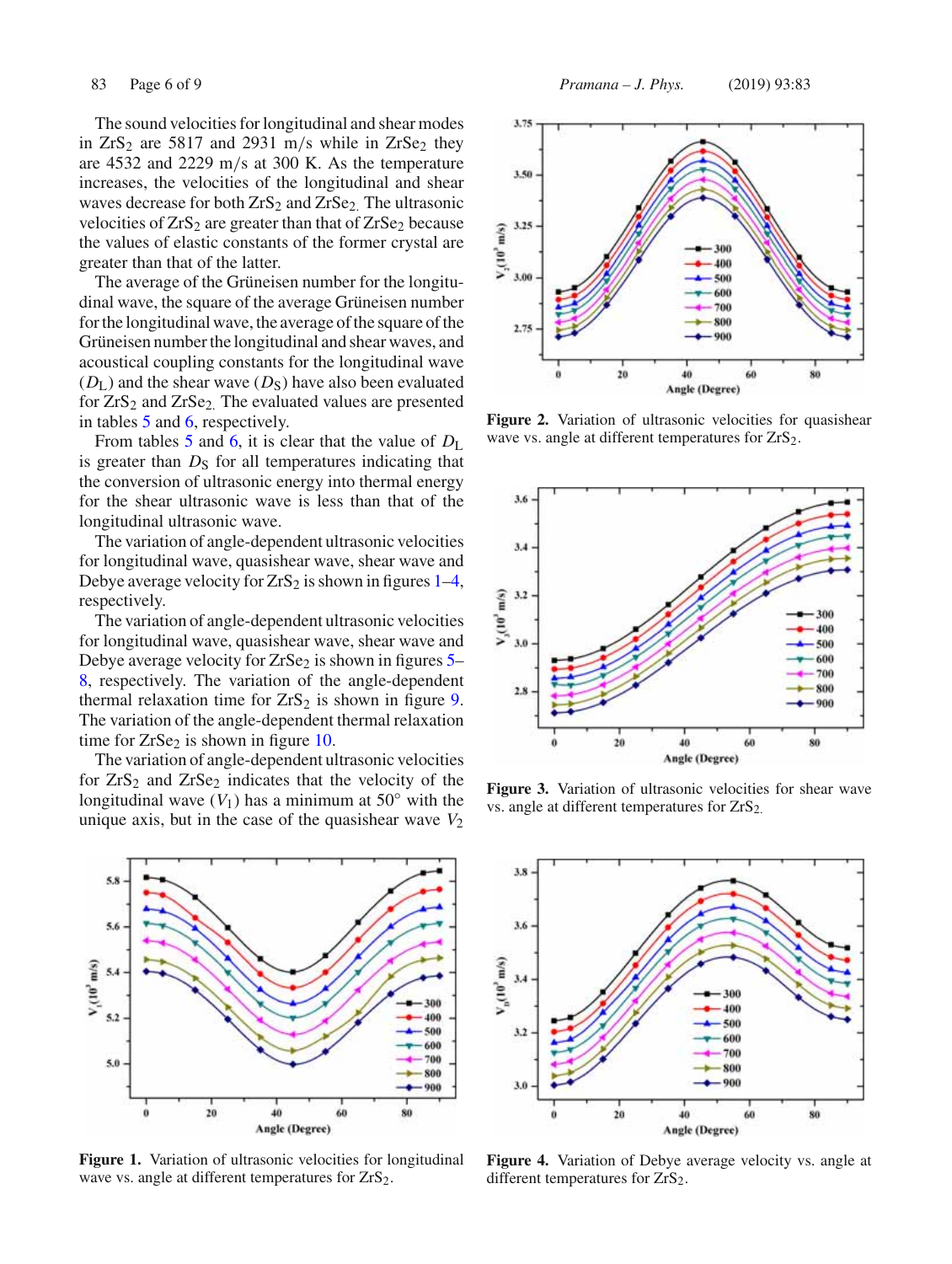The sound velocities for longitudinal and shear modes in  $ZrS_2$  are 5817 and 2931 m/s while in  $ZrSe_2$  they are 4532 and 2229 m/s at 300 K. As the temperature increases, the velocities of the longitudinal and shear waves decrease for both  $ZrS_2$  and  $ZrSe_2$ . The ultrasonic velocities of  $ZrS_2$  are greater than that of  $ZrSe_2$  because the values of elastic constants of the former crystal are greater than that of the latter.

The average of the Grüneisen number for the longitudinal wave, the square of the average Grüneisen number for the longitudinal wave, the average of the square of the Grüneisen number the longitudinal and shear waves, and acoustical coupling constants for the longitudinal wave  $(D<sub>L</sub>)$  and the shear wave  $(D<sub>S</sub>)$  have also been evaluated for ZrS<sub>2</sub> and ZrSe<sub>2.</sub> The evaluated values are presented in tables 5 and 6, respectively.

From tables 5 and 6, it is clear that the value of  $D_{\rm L}$ is greater than  $D<sub>S</sub>$  for all temperatures indicating that the conversion of ultrasonic energy into thermal energy for the shear ultrasonic wave is less than that of the longitudinal ultrasonic wave.

The variation of angle-dependent ultrasonic velocities for longitudinal wave, quasishear wave, shear wave and Debye average velocity for  $ZrS_2$  is shown in figures 1–4, respectively.

The variation of angle-dependent ultrasonic velocities for longitudinal wave, quasishear wave, shear wave and Debye average velocity for  $ZrSe_2$  is shown in figures  $5-$ 8, respectively. The variation of the angle-dependent thermal relaxation time for  $ZrS_2$  is shown in figure 9. The variation of the angle-dependent thermal relaxation time for  $ZrSe<sub>2</sub>$  is shown in figure 10.

The variation of angle-dependent ultrasonic velocities for  $ZrS_2$  and  $ZrSe_2$  indicates that the velocity of the longitudinal wave  $(V_1)$  has a minimum at 50 $\degree$  with the unique axis, but in the case of the quasishear wave  $V_2$ 



**Figure 1.** Variation of ultrasonic velocities for longitudinal wave vs. angle at different temperatures for  $ZrS_2$ .



**Figure 2.** Variation of ultrasonic velocities for quasishear wave vs. angle at different temperatures for ZrS<sub>2</sub>.



Figure 3. Variation of ultrasonic velocities for shear wave vs. angle at different temperatures for  $ZrS<sub>2</sub>$ .



**Figure 4.** Variation of Debye average velocity vs. angle at different temperatures for  $ZrS<sub>2</sub>$ .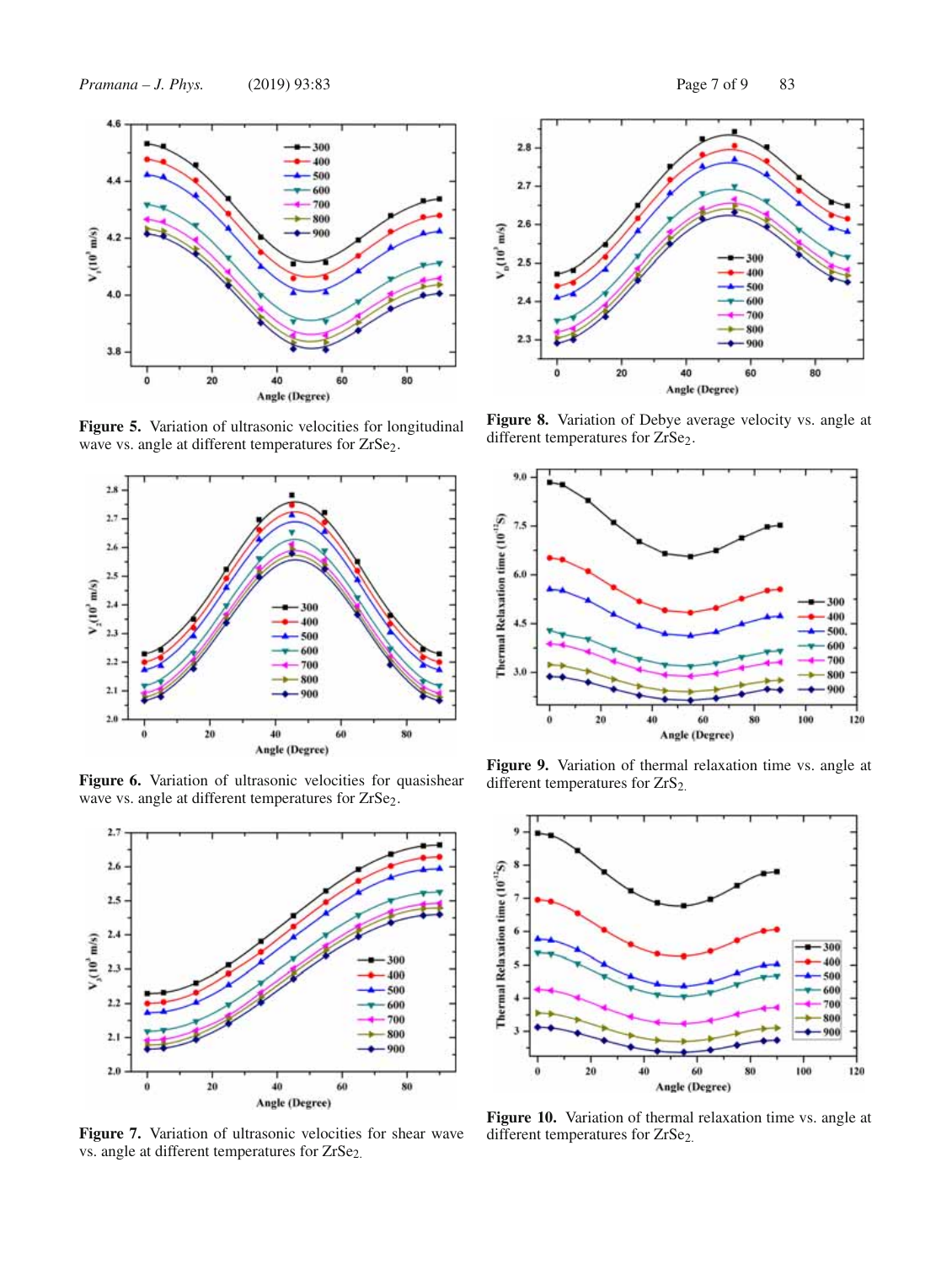

**Figure 5.** Variation of ultrasonic velocities for longitudinal wave vs. angle at different temperatures for ZrSe<sub>2</sub>.



Figure 6. Variation of ultrasonic velocities for quasishear wave vs. angle at different temperatures for ZrSe<sub>2</sub>.



**Figure 7.** Variation of ultrasonic velocities for shear wave vs. angle at different temperatures for ZrSe<sub>2.</sub>



**Figure 8.** Variation of Debye average velocity vs. angle at different temperatures for ZrSe<sub>2</sub>.



**Figure 9.** Variation of thermal relaxation time vs. angle at different temperatures for ZrS<sub>2.</sub>



**Figure 10.** Variation of thermal relaxation time vs. angle at different temperatures for ZrSe<sub>2.</sub>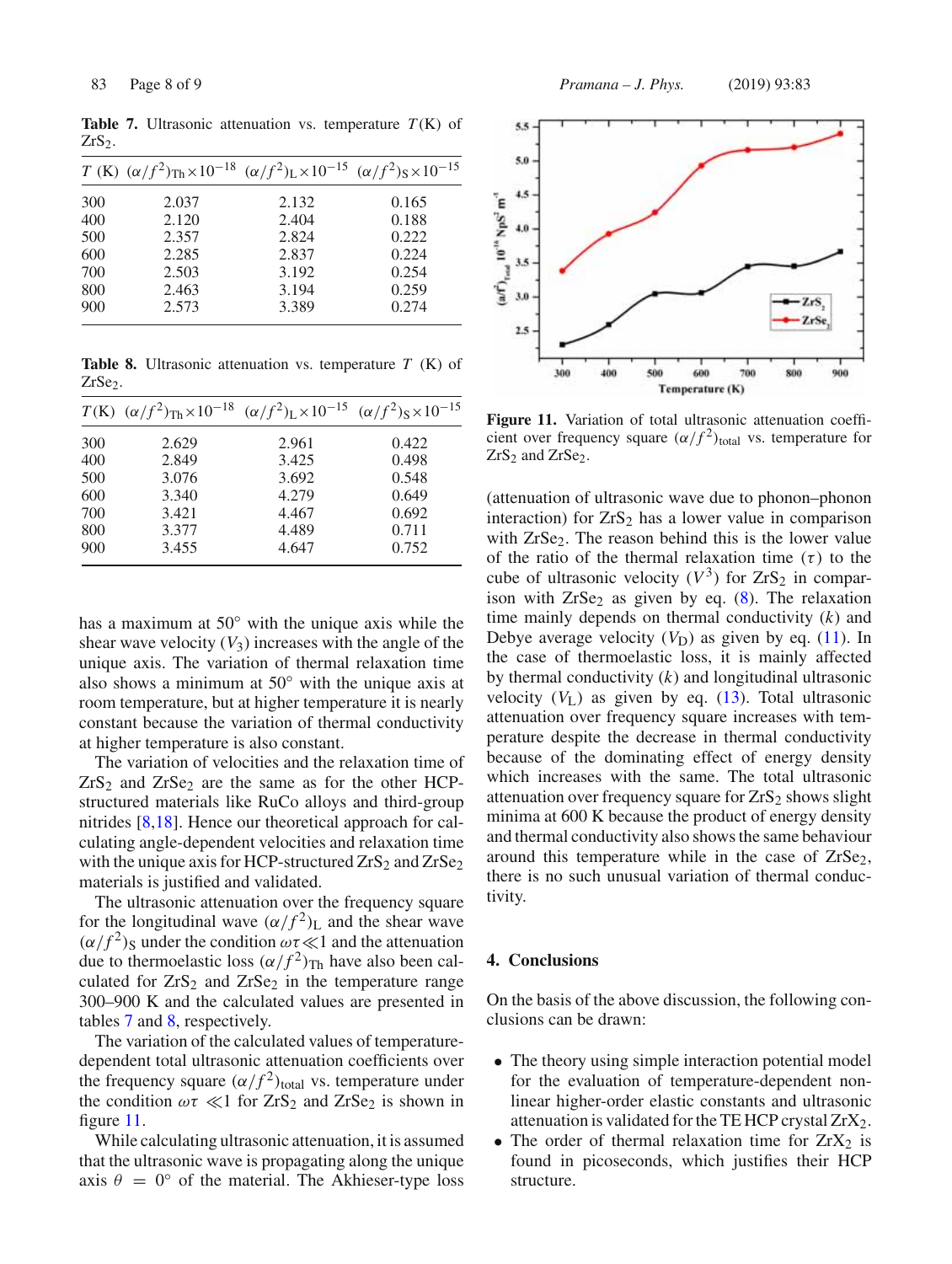*T* (K)  $(\alpha/f^2)_{\text{Th}} \times 10^{-18}$   $(\alpha/f^2)_{\text{L}} \times 10^{-15}$   $(\alpha/f^2)_{\text{S}} \times 10^{-15}$ 300 2.037 2.132 0.165 400 2.120 2.404 0.188 500 2.357 2.824 0.222 600 2.285 2.837 0.224 700 2.503 3.192 0.254

800 2.463 3.194 0.259 900 2.573 3.389 0.274

**Table 7.** Ultrasonic attenuation vs. temperature  $T(K)$  of  $ZrS<sub>2</sub>$ .

**Table 8.** Ultrasonic attenuation vs. temperature *T* (K) of ZrSe<sub>2</sub>.

|     | $T(K)$ $(\alpha/f^2)_{\text{Th}} \times 10^{-18}$ $(\alpha/f^2)_{\text{L}} \times 10^{-15}$ $(\alpha/f^2)_{\text{S}} \times 10^{-15}$ |       |       |
|-----|---------------------------------------------------------------------------------------------------------------------------------------|-------|-------|
| 300 | 2.629                                                                                                                                 | 2.961 | 0.422 |
| 400 | 2.849                                                                                                                                 | 3.425 | 0.498 |
| 500 | 3.076                                                                                                                                 | 3.692 | 0.548 |
| 600 | 3.340                                                                                                                                 | 4.279 | 0.649 |
| 700 | 3.421                                                                                                                                 | 4.467 | 0.692 |
| 800 | 3.377                                                                                                                                 | 4.489 | 0.711 |
| 900 | 3.455                                                                                                                                 | 4.647 | 0.752 |

has a maximum at 50◦ with the unique axis while the shear wave velocity  $(V_3)$  increases with the angle of the unique axis. The variation of thermal relaxation time also shows a minimum at  $50°$  with the unique axis at room temperature, but at higher temperature it is nearly constant because the variation of thermal conductivity at higher temperature is also constant.

The variation of velocities and the relaxation time of  $ZrS_2$  and  $ZrSe_2$  are the same as for the other HCPstructured materials like RuCo alloys and third-group nitrides [8,18]. Hence our theoretical approach for calculating angle-dependent velocities and relaxation time with the unique axis for HCP-structured  $ZrS_2$  and  $ZrSe_2$ materials is justified and validated.

The ultrasonic attenuation over the frequency square for the longitudinal wave  $(\alpha/f^2)$ <sub>L</sub> and the shear wave  $(\alpha/f^2)$ <sub>S</sub> under the condition  $\omega\tau \ll 1$  and the attenuation due to thermoelastic loss  $(\alpha/f^2)_{\text{Th}}$  have also been calculated for  $ZrS_2$  and  $ZrSe_2$  in the temperature range 300–900 K and the calculated values are presented in tables 7 and 8, respectively.

The variation of the calculated values of temperaturedependent total ultrasonic attenuation coefficients over the frequency square  $(\alpha/f^2)_{\text{total}}$  vs. temperature under the condition  $\omega \tau \ll 1$  for  $ZrS_2$  and  $ZrSe_2$  is shown in figure 11.

While calculating ultrasonic attenuation, it is assumed that the ultrasonic wave is propagating along the unique axis  $\theta = 0^{\circ}$  of the material. The Akhieser-type loss



**Figure 11.** Variation of total ultrasonic attenuation coefficient over frequency square  $(\alpha/f^2)_{\text{total}}$  vs. temperature for ZrS<sub>2</sub> and ZrSe<sub>2</sub>.

(attenuation of ultrasonic wave due to phonon–phonon interaction) for  $ZrS_2$  has a lower value in comparison with  $ZrSe<sub>2</sub>$ . The reason behind this is the lower value of the ratio of the thermal relaxation time (τ) to the cube of ultrasonic velocity  $(V^3)$  for  $ZrS_2$  in comparison with  $ZrSe<sub>2</sub>$  as given by eq. (8). The relaxation time mainly depends on thermal conductivity (*k*) and Debye average velocity  $(V_D)$  as given by eq. (11). In the case of thermoelastic loss, it is mainly affected by thermal conductivity (*k*) and longitudinal ultrasonic velocity  $(V_L)$  as given by eq.  $(13)$ . Total ultrasonic attenuation over frequency square increases with temperature despite the decrease in thermal conductivity because of the dominating effect of energy density which increases with the same. The total ultrasonic attenuation over frequency square for  $ZrS<sub>2</sub>$  shows slight minima at 600 K because the product of energy density and thermal conductivity also shows the same behaviour around this temperature while in the case of  $ZrSe<sub>2</sub>$ , there is no such unusual variation of thermal conductivity.

#### **4. Conclusions**

On the basis of the above discussion, the following conclusions can be drawn:

- The theory using simple interaction potential model for the evaluation of temperature-dependent nonlinear higher-order elastic constants and ultrasonic attenuation is validated for the TE HCP crystal  $ZrX_2$ .
- The order of thermal relaxation time for  $ZrX_2$  is found in picoseconds, which justifies their HCP structure.